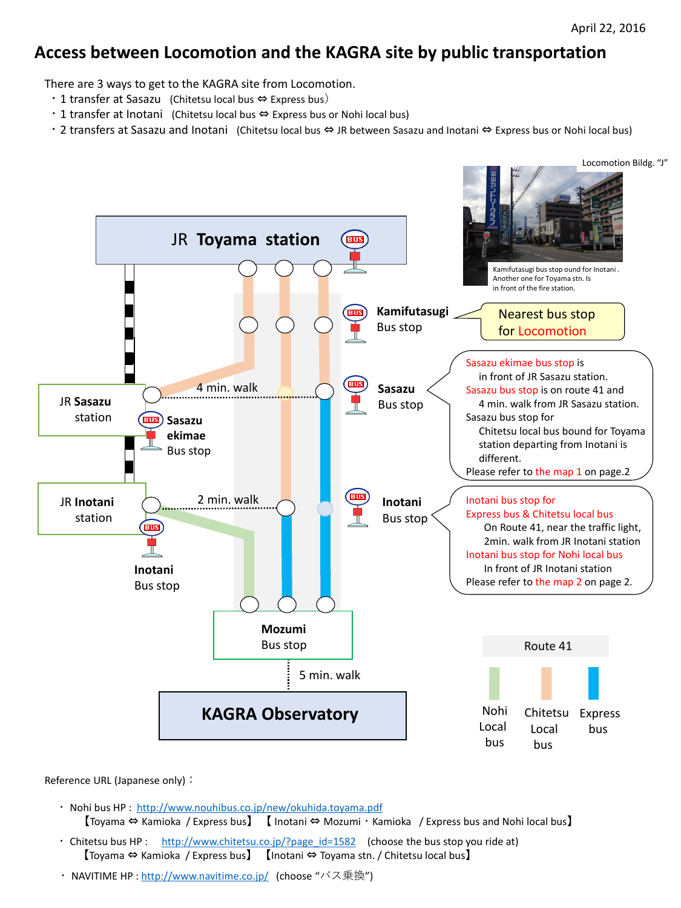## **Access between Locomotion and the KAGRA site by public transportation**

There are 3 ways to get to the KAGRA site from Locomotion.

- 1 transfer at Sasazu (Chitetsu local bus  $\Leftrightarrow$  Express bus)
- ・1 transfer at Inotani (Chitetsu local bus ⇔ Express bus or Nohi local bus)
- ・2 transfers at Sasazu and Inotani (Chitetsu local bus ⇔ JR between Sasazu and Inotani ⇔ Express bus or Nohi local bus)

Locomotion Bildg. "J"

Reference URL (Japanese only):



- ・ Nohi bus HP : <http://www.nouhibus.co.jp/new/okuhida.toyama.pdf> 【Toyama ⇔ Kamioka / Express bus】 【 Inotani ⇔ Mozumi・Kamioka / Express bus and Nohi local bus】
- Chitetsu bus HP : [http://www.chitetsu.co.jp/?page\\_id=1582](http://www.chitetsu.co.jp/?page_id=1582) (choose the bus stop you ride at) 【Toyama ⇔ Kamioka / Express bus】 【Inotani ⇔ Toyama stn. / Chitetsu local bus】
- ・ NAVITIME HP : <u>http://www.navitime.co.jp</u>/ (choose "バス乗換")